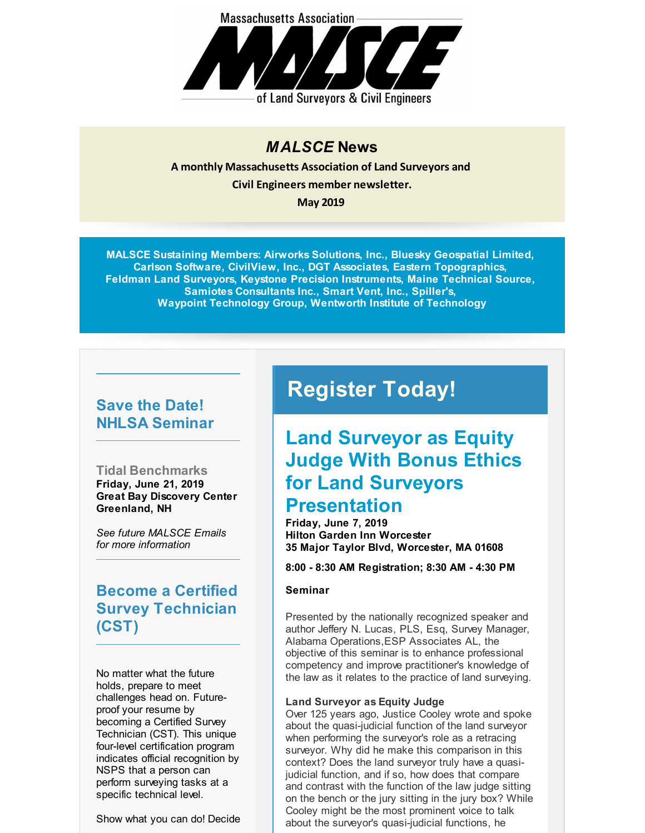

#### *MALSCE* **News**

**A monthly Massachusetts Association of Land Surveyors and Civil Engineers member newsletter. May 2019**

**MALSCE Sustaining Members: Airworks Solutions, Inc., Bluesky Geospatial Limited, Carlson Software, CivilView, Inc., DGT Associates, Eastern Topographics, Feldman Land Surveyors, Keystone Precision Instruments, Maine Technical Source, Samiotes Consultants Inc., Smart Vent, Inc., Spiller's, Waypoint Technology Group, Wentworth Institute of Technology**

### **Save the Date! NHLSA Seminar**

**Tidal Benchmarks Friday, June 21, 2019 Great Bay Discovery Center Greenland, NH**

*See future MALSCE Emails for more information*

**Become a Certified Survey Technician (CST)**

No matter what the future holds, prepare to meet challenges head on. Futureproof your resume by becoming a Certified Survey Technician (CST). This unique four-level certification program indicates official recognition by NSPS that a person can perform surveying tasks at a specific technical level.

Show what you can do! Decide

# **Register Today!**

### **Land Surveyor as Equity Judge With Bonus Ethics for Land Surveyors Presentation**

**Friday, June 7, 2019 Hilton Garden Inn Worcester 35 Major Taylor Blvd, Worcester, MA 01608**

**8:00 - 8:30 AM Registration; 8:30 AM - 4:30 PM**

#### **Seminar**

Presented by the nationally recognized speaker and author Jeffery N. Lucas, PLS, Esq, Survey Manager, Alabama Operations,ESP Associates AL, the objective of this seminar is to enhance professional competency and improve practitioner's knowledge of the law as it relates to the practice of land surveying.

#### **Land Surveyor as Equity Judge**

Over 125 years ago, Justice Cooley wrote and spoke about the quasi-judicial function of the land surveyor when performing the surveyor's role as a retracing surveyor. Why did he make this comparison in this context? Does the land surveyor truly have a quasijudicial function, and if so, how does that compare and contrast with the function of the law judge sitting on the bench or the jury sitting in the jury box? While Cooley might be the most prominent voice to talk about the surveyor's quasi-judicial functions, he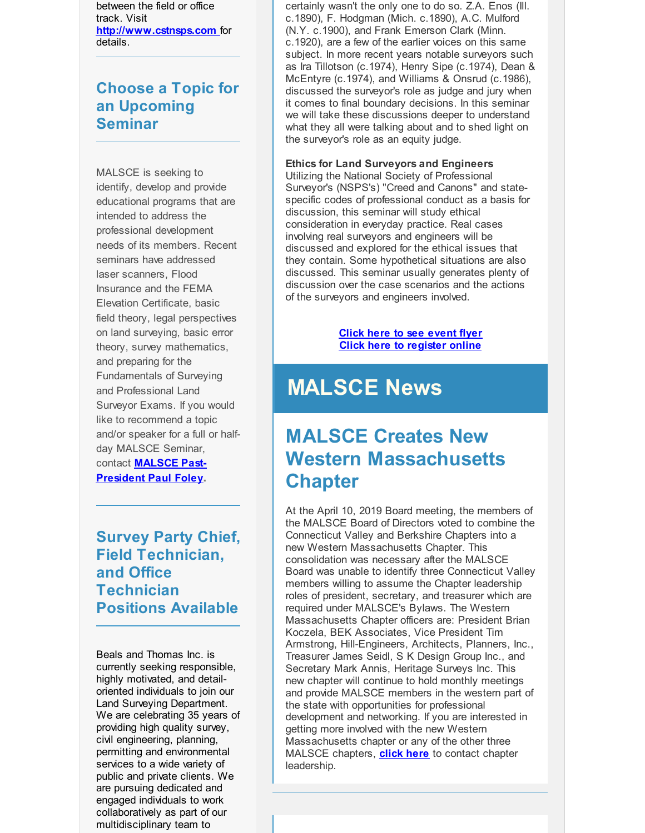between the field or office track. Visit **[http://www.cstnsps.com](http://r20.rs6.net/tn.jsp?f=001mRMVtZ5e1sFXgN5-jQ3flf0cPsi2TchUuae3vFwsD3DO4Cr2bEzoBlqjidsr9gvCMHSNNap54MMvG8GTcE2OYzi9HZsEwnlS8TXdWBu6l9OiDw1BqYiC0KaDLLJorruhbPGuSu4entj4Unf8FuK_HKGyHL-M7CeN7cyWWUc9zkQ=&c=&ch=)** for details.

### **Choose a Topic for an Upcoming Seminar**

MALSCE is seeking to identify, develop and provide educational programs that are intended to address the professional development needs of its members. Recent seminars have addressed laser scanners, Flood Insurance and the FEMA Elevation Certificate, basic field theory, legal perspectives on land surveying, basic error theory, survey mathematics, and preparing for the Fundamentals of Surveying and Professional Land Surveyor Exams. If you would like to recommend a topic and/or speaker for a full or halfday MALSCE Seminar, contact **MALSCE Past-[President](mailto:pfoley@feldmansurveyors.com) Paul Foley.**

**Survey Party Chief, Field Technician, and Office Technician Positions Available**

Beals and Thomas Inc. is currently seeking responsible, highly motivated, and detailoriented individuals to join our Land Surveying Department. We are celebrating 35 years of providing high quality survey, civil engineering, planning, permitting and environmental services to a wide variety of public and private clients. We are pursuing dedicated and engaged individuals to work collaboratively as part of our multidisciplinary team to

certainly wasn't the only one to do so. Z.A. Enos (Ill. c.1890), F. Hodgman (Mich. c.1890), A.C. Mulford (N.Y. c.1900), and Frank Emerson Clark (Minn. c.1920), are a few of the earlier voices on this same subject. In more recent years notable surveyors such as Ira Tillotson (c.1974), Henry Sipe (c.1974), Dean & McEntyre (c.1974), and Williams & Onsrud (c.1986), discussed the surveyor's role as judge and jury when it comes to final boundary decisions. In this seminar we will take these discussions deeper to understand what they all were talking about and to shed light on the surveyor's role as an equity judge.

#### **Ethics for Land Surveyors and Engineers**

Utilizing the National Society of Professional Surveyor's (NSPS's) "Creed and Canons" and statespecific codes of professional conduct as a basis for discussion, this seminar will study ethical consideration in everyday practice. Real cases involving real surveyors and engineers will be discussed and explored for the ethical issues that they contain. Some hypothetical situations are also discussed. This seminar usually generates plenty of discussion over the case scenarios and the actions of the surveyors and engineers involved.

#### **Click here to see [event](http://r20.rs6.net/tn.jsp?f=001mRMVtZ5e1sFXgN5-jQ3flf0cPsi2TchUuae3vFwsD3DO4Cr2bEzoBgFOfNLf7RdGgXJMLhdEIpaqVGDV5Nvw7DMpvKhh6kkXWE8HbPHZeHMKaoSjcLktuYcDCLDAf78OQZsrEWoBQGfhpQeFaVtUK0GmSAAx_oi2xhTjvZjvB3qQdfNZM2eTRM6b-Nu124ZIyxXiPL6dZK1RTkYHgpM-Y6SqapxFXyR7rSUza9hd22Og1tn1R81yiA==&c=&ch=) flyer Click here to [register](http://r20.rs6.net/tn.jsp?f=001mRMVtZ5e1sFXgN5-jQ3flf0cPsi2TchUuae3vFwsD3DO4Cr2bEzoBgFOfNLf7RdGRq39KfN5BDgR-xwuGVN3zSQYurn4LkgcoC6KIUuYbiEKQHtZhNk88l5Rr37gBytzXs6qeyI60zbr9lse-rqrOxPThipgZ6XYtpZevr-ODVJ9nvV5tHveCUSmDeLhsJkgRq46cdTD_Pxpa1EvNrzeuTqFpCg7zBKXaY1AjMN-OcTqDEqdKwkm-BwMv3-xCSBmmn0SDrSRmyi4uR-kPBevUVxstC7fFWOT0fX_WlhcOHs=&c=&ch=) online**

# **MALSCE News**

## **MALSCE Creates New Western Massachusetts Chapter**

At the April 10, 2019 Board meeting, the members of the MALSCE Board of Directors voted to combine the Connecticut Valley and Berkshire Chapters into a new Western Massachusetts Chapter. This consolidation was necessary after the MALSCE Board was unable to identify three Connecticut Valley members willing to assume the Chapter leadership roles of president, secretary, and treasurer which are required under MALSCE's Bylaws. The Western Massachusetts Chapter officers are: President Brian Koczela, BEK Associates, Vice President Tim Armstrong, Hill-Engineers, Architects, Planners, Inc., Treasurer James Seidl, S K Design Group Inc., and Secretary Mark Annis, Heritage Surveys Inc. This new chapter will continue to hold monthly meetings and provide MALSCE members in the western part of the state with opportunities for professional development and networking. If you are interested in getting more involved with the new Western Massachusetts chapter or any of the other three MALSCE chapters, **[click](http://r20.rs6.net/tn.jsp?f=001mRMVtZ5e1sFXgN5-jQ3flf0cPsi2TchUuae3vFwsD3DO4Cr2bEzoBlqjidsr9gvCqhERe-75NhGn7JuiFoZat_VaOJ4fW8lzD7-18lIRQGw10opUdG5wK0-2V-FJKdwE4WDMDz2GTffCRjQmOYXfmUkrZyQB6yl6FKGrkLG1rOXktxbqEeBKSNr3k5WXXpelMH-iXgTz_NU=&c=&ch=) here** to contact chapter leadership.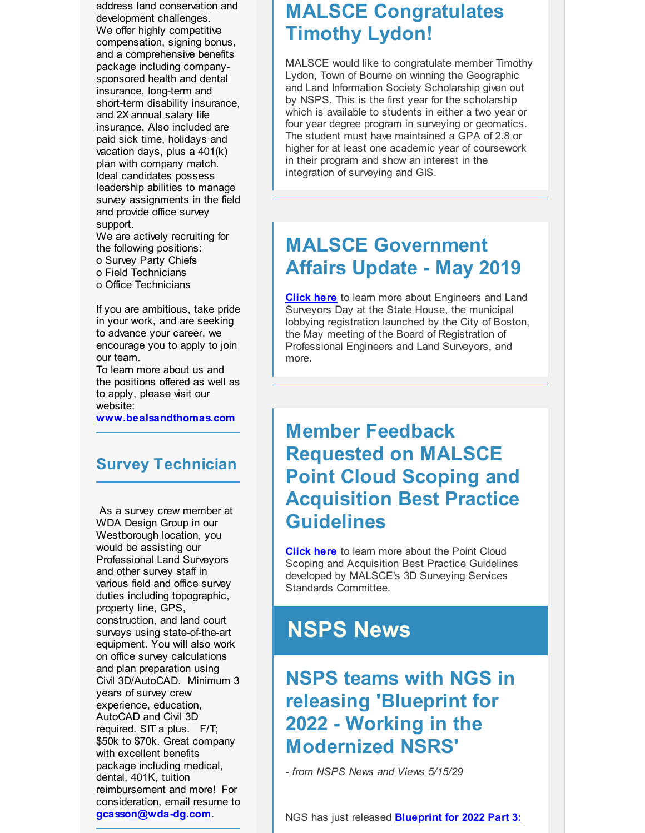address land conservation and development challenges. We offer highly competitive compensation, signing bonus, and a comprehensive benefits package including companysponsored health and dental insurance, long-term and short-term disability insurance, and 2X annual salary life insurance. Also included are paid sick time, holidays and vacation days, plus a 401(k) plan with company match. Ideal candidates possess leadership abilities to manage survey assignments in the field and provide office survey support.

We are actively recruiting for the following positions: o Survey Party Chiefs o Field Technicians o Office Technicians

If you are ambitious, take pride in your work, and are seeking to advance your career, we encourage you to apply to join our team.

To learn more about us and the positions offered as well as to apply, please visit our website:

**[www.bealsandthomas.com](http://r20.rs6.net/tn.jsp?f=001mRMVtZ5e1sFXgN5-jQ3flf0cPsi2TchUuae3vFwsD3DO4Cr2bEzoBiHDuA6uwOY3gzYmNTFFt7QL2AqjbcFTqYTnJJmxY7u77PWSW9OnNvJo7AtfaIDKgA8UvAuBFXuUi9UUkD7Fqb5ckzI3jldeqCitQKyXoQ4nakHUOf_DD12tWbyFkBOKmg==&c=&ch=)**

#### **Survey Technician**

As a survey crew member at WDA Design Group in our Westborough location, you would be assisting our Professional Land Surveyors and other survey staff in various field and office survey duties including topographic, property line, GPS, construction, and land court surveys using state-of-the-art equipment. You will also work on office survey calculations and plan preparation using Civil 3D/AutoCAD. Minimum 3 years of survey crew experience, education, AutoCAD and Civil 3D required. SIT a plus. F/T; \$50k to \$70k. Great company with excellent benefits package including medical, dental, 401K, tuition reimbursement and more! For consideration, email resume to **[gcasson@wda-dg.com](mailto:gcasson@wda-dg.com)**.

### **MALSCE Congratulates Timothy Lydon!**

MALSCE would like to congratulate member Timothy Lydon, Town of Bourne on winning the Geographic and Land Information Society Scholarship given out by NSPS. This is the first year for the scholarship which is available to students in either a two year or four year degree program in surveying or geomatics. The student must have maintained a GPA of 2.8 or higher for at least one academic year of coursework in their program and show an interest in the integration of surveying and GIS.

## **MALSCE Government Affairs Update - May 2019**

**[Click](http://r20.rs6.net/tn.jsp?f=001mRMVtZ5e1sFXgN5-jQ3flf0cPsi2TchUuae3vFwsD3DO4Cr2bEzoBgy7X-voo51rbLrzVsIFhc6ULw-8Oj0ARPLV0sM36kNYfO0hKUgyczbknKqRUSvR0gPMS18Byrd8qUmkcOcikJxpSBCyFm7xCTuZh5vU3uLiyXj_G4ybJA3IVprWQFG6WsVmVL8R5PCM9Ys242_xK_t5u9Ype0ylC5BibtnNa8nI0C3BPPOovvw4bSB4fjoks6UWXpVQ65qH3jyWKqzxeI0=&c=&ch=) here** to learn more about Engineers and Land Surveyors Day at the State House, the municipal lobbying registration launched by the City of Boston, the May meeting of the Board of Registration of Professional Engineers and Land Surveyors, and more.

## **Member Feedback Requested on MALSCE Point Cloud Scoping and Acquisition Best Practice Guidelines**

**[Click](http://r20.rs6.net/tn.jsp?f=001mRMVtZ5e1sFXgN5-jQ3flf0cPsi2TchUuae3vFwsD3DO4Cr2bEzoBhP-jIrugVj2kzyVvU2oCiWAK2T2CtIt5Xqcb0TFFLk77cKHs_B-pvLW5XBXLdg78UCc3Y4Haml_h4Q5w7fqQysK1KCTvXeDvf-Vk9jyJiGJ_RnQCtY01WWBIxU10N_CAH-cVMS3bUggwA_j1pMbO4xadQdPSqFs7JEJ88IbtCEbf1h7UMPfxm7wbk1cfVNqx7ftKeI4taDPkLOVUStUz09tMnNrxdzqX2i0uczbh65YOD16i1Y17dHJJHUnbDOauw==&c=&ch=) here** to learn more about the Point Cloud Scoping and Acquisition Best Practice Guidelines developed by MALSCE's 3D Surveying Services Standards Committee.

## **NSPS News**

## **NSPS teams with NGS in releasing 'Blueprint for 2022 - Working in the Modernized NSRS'**

*- from NSPS News and Views 5/15/29*